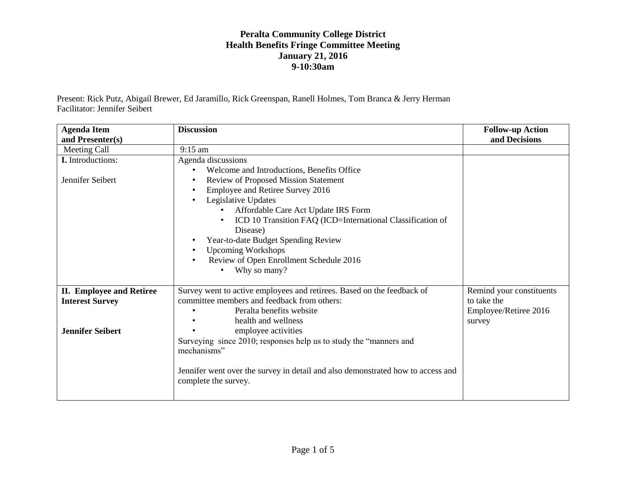Present: Rick Putz, Abigail Brewer, Ed Jaramillo, Rick Greenspan, Ranell Holmes, Tom Branca & Jerry Herman Facilitator: Jennifer Seibert

| <b>Agenda Item</b>              | <b>Discussion</b>                                                               | <b>Follow-up Action</b>  |
|---------------------------------|---------------------------------------------------------------------------------|--------------------------|
| and Presenter(s)                |                                                                                 | and Decisions            |
| Meeting Call                    | $9:15$ am                                                                       |                          |
| I. Introductions:               | Agenda discussions                                                              |                          |
|                                 | Welcome and Introductions, Benefits Office                                      |                          |
| Jennifer Seibert                | <b>Review of Proposed Mission Statement</b>                                     |                          |
|                                 | Employee and Retiree Survey 2016                                                |                          |
|                                 | Legislative Updates                                                             |                          |
|                                 | Affordable Care Act Update IRS Form<br>$\bullet$                                |                          |
|                                 | ICD 10 Transition FAQ (ICD=International Classification of                      |                          |
|                                 | Disease)                                                                        |                          |
|                                 | Year-to-date Budget Spending Review                                             |                          |
|                                 | <b>Upcoming Workshops</b>                                                       |                          |
|                                 | Review of Open Enrollment Schedule 2016                                         |                          |
|                                 | Why so many?                                                                    |                          |
|                                 |                                                                                 |                          |
| <b>II. Employee and Retiree</b> | Survey went to active employees and retirees. Based on the feedback of          | Remind your constituents |
| <b>Interest Survey</b>          | committee members and feedback from others:                                     | to take the              |
|                                 | Peralta benefits website                                                        | Employee/Retiree 2016    |
|                                 | health and wellness                                                             | survey                   |
| <b>Jennifer Seibert</b>         | employee activities                                                             |                          |
|                                 | Surveying since 2010; responses help us to study the "manners and               |                          |
|                                 | mechanisms"                                                                     |                          |
|                                 |                                                                                 |                          |
|                                 | Jennifer went over the survey in detail and also demonstrated how to access and |                          |
|                                 | complete the survey.                                                            |                          |
|                                 |                                                                                 |                          |
|                                 |                                                                                 |                          |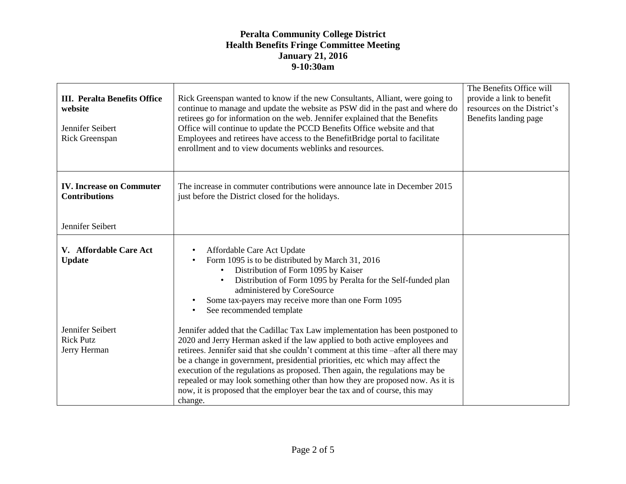| <b>III.</b> Peralta Benefits Office<br>website<br>Jennifer Seibert<br>Rick Greenspan | Rick Greenspan wanted to know if the new Consultants, Alliant, were going to<br>continue to manage and update the website as PSW did in the past and where do<br>retirees go for information on the web. Jennifer explained that the Benefits<br>Office will continue to update the PCCD Benefits Office website and that<br>Employees and retirees have access to the BenefitBridge portal to facilitate<br>enrollment and to view documents weblinks and resources.                                                                                                                         | The Benefits Office will<br>provide a link to benefit<br>resources on the District's<br>Benefits landing page |
|--------------------------------------------------------------------------------------|-----------------------------------------------------------------------------------------------------------------------------------------------------------------------------------------------------------------------------------------------------------------------------------------------------------------------------------------------------------------------------------------------------------------------------------------------------------------------------------------------------------------------------------------------------------------------------------------------|---------------------------------------------------------------------------------------------------------------|
| <b>IV.</b> Increase on Commuter<br><b>Contributions</b>                              | The increase in commuter contributions were announce late in December 2015<br>just before the District closed for the holidays.                                                                                                                                                                                                                                                                                                                                                                                                                                                               |                                                                                                               |
| Jennifer Seibert                                                                     |                                                                                                                                                                                                                                                                                                                                                                                                                                                                                                                                                                                               |                                                                                                               |
| V. Affordable Care Act<br><b>Update</b>                                              | Affordable Care Act Update<br>Form 1095 is to be distributed by March 31, 2016<br>Distribution of Form 1095 by Kaiser<br>$\bullet$<br>Distribution of Form 1095 by Peralta for the Self-funded plan<br>administered by CoreSource<br>Some tax-payers may receive more than one Form 1095<br>See recommended template                                                                                                                                                                                                                                                                          |                                                                                                               |
| Jennifer Seibert<br><b>Rick Putz</b><br>Jerry Herman                                 | Jennifer added that the Cadillac Tax Law implementation has been postponed to<br>2020 and Jerry Herman asked if the law applied to both active employees and<br>retirees. Jennifer said that she couldn't comment at this time -after all there may<br>be a change in government, presidential priorities, etc which may affect the<br>execution of the regulations as proposed. Then again, the regulations may be<br>repealed or may look something other than how they are proposed now. As it is<br>now, it is proposed that the employer bear the tax and of course, this may<br>change. |                                                                                                               |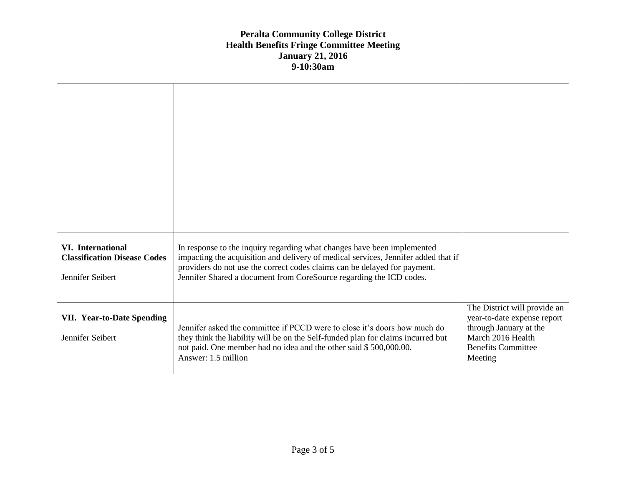| <b>VI.</b> International<br><b>Classification Disease Codes</b><br>Jennifer Seibert | In response to the inquiry regarding what changes have been implemented<br>impacting the acquisition and delivery of medical services, Jennifer added that if<br>providers do not use the correct codes claims can be delayed for payment.<br>Jennifer Shared a document from CoreSource regarding the ICD codes. |                                                                                                                                                    |
|-------------------------------------------------------------------------------------|-------------------------------------------------------------------------------------------------------------------------------------------------------------------------------------------------------------------------------------------------------------------------------------------------------------------|----------------------------------------------------------------------------------------------------------------------------------------------------|
| <b>VII. Year-to-Date Spending</b><br>Jennifer Seibert                               | Jennifer asked the committee if PCCD were to close it's doors how much do<br>they think the liability will be on the Self-funded plan for claims incurred but<br>not paid. One member had no idea and the other said \$500,000.00.<br>Answer: 1.5 million                                                         | The District will provide an<br>year-to-date expense report<br>through January at the<br>March 2016 Health<br><b>Benefits Committee</b><br>Meeting |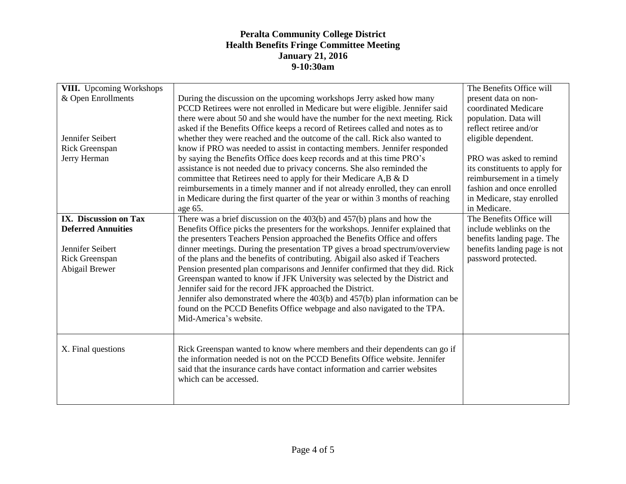| <b>VIII.</b> Upcoming Workshops  |                                                                                                                                                                | The Benefits Office will                            |
|----------------------------------|----------------------------------------------------------------------------------------------------------------------------------------------------------------|-----------------------------------------------------|
| & Open Enrollments               | During the discussion on the upcoming workshops Jerry asked how many                                                                                           | present data on non-                                |
|                                  | PCCD Retirees were not enrolled in Medicare but were eligible. Jennifer said                                                                                   | coordinated Medicare                                |
|                                  | there were about 50 and she would have the number for the next meeting. Rick                                                                                   | population. Data will                               |
|                                  | asked if the Benefits Office keeps a record of Retirees called and notes as to                                                                                 | reflect retiree and/or                              |
| Jennifer Seibert                 | whether they were reached and the outcome of the call. Rick also wanted to                                                                                     | eligible dependent.                                 |
| Rick Greenspan                   | know if PRO was needed to assist in contacting members. Jennifer responded                                                                                     |                                                     |
| Jerry Herman                     | by saying the Benefits Office does keep records and at this time PRO's                                                                                         | PRO was asked to remind                             |
|                                  | assistance is not needed due to privacy concerns. She also reminded the                                                                                        | its constituents to apply for                       |
|                                  | committee that Retirees need to apply for their Medicare A,B & D                                                                                               | reimbursement in a timely                           |
|                                  | reimbursements in a timely manner and if not already enrolled, they can enroll                                                                                 | fashion and once enrolled                           |
|                                  | in Medicare during the first quarter of the year or within 3 months of reaching                                                                                | in Medicare, stay enrolled                          |
|                                  | age 65.                                                                                                                                                        | in Medicare.                                        |
| IX. Discussion on Tax            | There was a brief discussion on the $403(b)$ and $457(b)$ plans and how the                                                                                    | The Benefits Office will                            |
| <b>Deferred Annuities</b>        | Benefits Office picks the presenters for the workshops. Jennifer explained that                                                                                | include weblinks on the                             |
| Jennifer Seibert                 | the presenters Teachers Pension approached the Benefits Office and offers                                                                                      | benefits landing page. The                          |
|                                  | dinner meetings. During the presentation TP gives a broad spectrum/overview                                                                                    | benefits landing page is not<br>password protected. |
| Rick Greenspan<br>Abigail Brewer | of the plans and the benefits of contributing. Abigail also asked if Teachers<br>Pension presented plan comparisons and Jennifer confirmed that they did. Rick |                                                     |
|                                  | Greenspan wanted to know if JFK University was selected by the District and                                                                                    |                                                     |
|                                  | Jennifer said for the record JFK approached the District.                                                                                                      |                                                     |
|                                  | Jennifer also demonstrated where the $403(b)$ and $457(b)$ plan information can be                                                                             |                                                     |
|                                  | found on the PCCD Benefits Office webpage and also navigated to the TPA.                                                                                       |                                                     |
|                                  | Mid-America's website.                                                                                                                                         |                                                     |
|                                  |                                                                                                                                                                |                                                     |
|                                  |                                                                                                                                                                |                                                     |
| X. Final questions               | Rick Greenspan wanted to know where members and their dependents can go if                                                                                     |                                                     |
|                                  | the information needed is not on the PCCD Benefits Office website. Jennifer                                                                                    |                                                     |
|                                  | said that the insurance cards have contact information and carrier websites                                                                                    |                                                     |
|                                  | which can be accessed.                                                                                                                                         |                                                     |
|                                  |                                                                                                                                                                |                                                     |
|                                  |                                                                                                                                                                |                                                     |